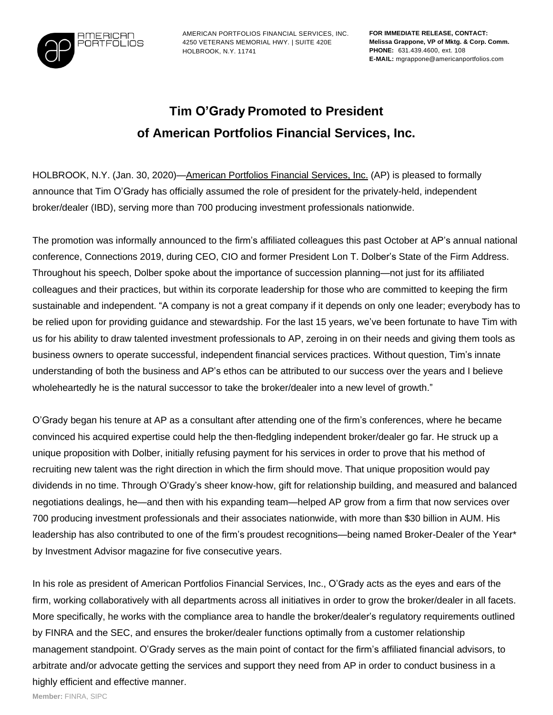

AMERICAN PORTFOLIOS FINANCIAL SERVICES, INC. 4250 VETERANS MEMORIAL HWY. | SUITE 420E HOLBROOK, N.Y. 11741

**FOR IMMEDIATE RELEASE, CONTACT: Melissa Grappone, VP of Mktg. & Corp. Comm. PHONE:** 631.439.4600, ext. 108 **E-MAIL:** mgrappone@americanportfolios.com

## **Tim O'Grady Promoted to President of American Portfolios Financial Services, Inc.**

HOLBROOK, N.Y. (Jan. 30, 2020)[—American](http://americanportfolios.com/) Portfolios Financial Services, Inc. (AP) is pleased to formally announce that Tim O'Grady has officially assumed the role of president for the privately-held, independent broker/dealer (IBD), serving more than 700 producing investment professionals nationwide.

The promotion was informally announced to the firm's affiliated colleagues this past October at AP's annual national conference, Connections 2019, during CEO, CIO and former President Lon T. Dolber's State of the Firm Address. Throughout his speech, Dolber spoke about the importance of succession planning—not just for its affiliated colleagues and their practices, but within its corporate leadership for those who are committed to keeping the firm sustainable and independent. "A company is not a great company if it depends on only one leader; everybody has to be relied upon for providing guidance and stewardship. For the last 15 years, we've been fortunate to have Tim with us for his ability to draw talented investment professionals to AP, zeroing in on their needs and giving them tools as business owners to operate successful, independent financial services practices. Without question, Tim's innate understanding of both the business and AP's ethos can be attributed to our success over the years and I believe wholeheartedly he is the natural successor to take the broker/dealer into a new level of growth."

O'Grady began his tenure at AP as a consultant after attending one of the firm's conferences, where he became convinced his acquired expertise could help the then-fledgling independent broker/dealer go far. He struck up a unique proposition with Dolber, initially refusing payment for his services in order to prove that his method of recruiting new talent was the right direction in which the firm should move. That unique proposition would pay dividends in no time. Through O'Grady's sheer know-how, gift for relationship building, and measured and balanced negotiations dealings, he—and then with his expanding team—helped AP grow from a firm that now services over 700 producing investment professionals and their associates nationwide, with more than \$30 billion in AUM. His leadership has also contributed to one of the firm's proudest recognitions—being named Broker-Dealer of the Year\* by Investment Advisor magazine for five consecutive years.

In his role as president of American Portfolios Financial Services, Inc., O'Grady acts as the eyes and ears of the firm, working collaboratively with all departments across all initiatives in order to grow the broker/dealer in all facets. More specifically, he works with the compliance area to handle the broker/dealer's regulatory requirements outlined by FINRA and the SEC, and ensures the broker/dealer functions optimally from a customer relationship management standpoint. O'Grady serves as the main point of contact for the firm's affiliated financial advisors, to arbitrate and/or advocate getting the services and support they need from AP in order to conduct business in a highly efficient and effective manner.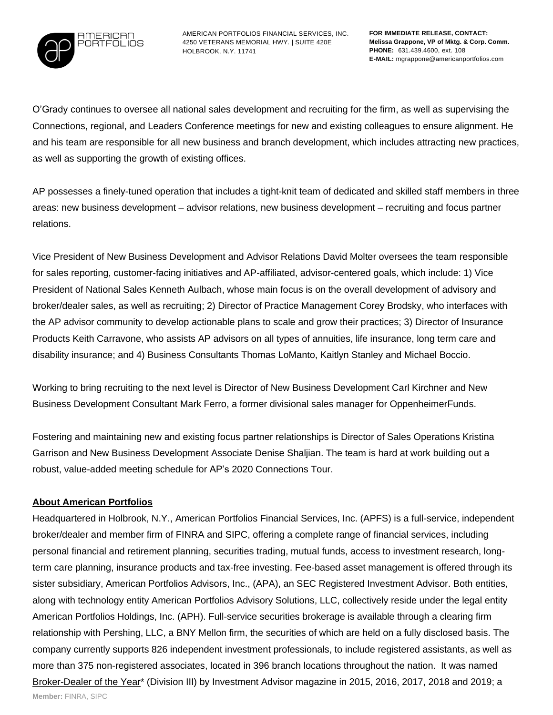

AMERICAN PORTFOLIOS FINANCIAL SERVICES, INC. 4250 VETERANS MEMORIAL HWY. | SUITE 420E HOLBROOK, N.Y. 11741

O'Grady continues to oversee all national sales development and recruiting for the firm, as well as supervising the Connections, regional, and Leaders Conference meetings for new and existing colleagues to ensure alignment. He and his team are responsible for all new business and branch development, which includes attracting new practices, as well as supporting the growth of existing offices.

AP possesses a finely-tuned operation that includes a tight-knit team of dedicated and skilled staff members in three areas: new business development – advisor relations, new business development – recruiting and focus partner relations.

Vice President of New Business Development and Advisor Relations David Molter oversees the team responsible for sales reporting, customer-facing initiatives and AP-affiliated, advisor-centered goals, which include: 1) Vice President of National Sales Kenneth Aulbach, whose main focus is on the overall development of advisory and broker/dealer sales, as well as recruiting; 2) Director of Practice Management Corey Brodsky, who interfaces with the AP advisor community to develop actionable plans to scale and grow their practices; 3) Director of Insurance Products Keith Carravone, who assists AP advisors on all types of annuities, life insurance, long term care and disability insurance; and 4) Business Consultants Thomas LoManto, Kaitlyn Stanley and Michael Boccio.

Working to bring recruiting to the next level is Director of New Business Development Carl Kirchner and New Business Development Consultant Mark Ferro, a former divisional sales manager for OppenheimerFunds.

Fostering and maintaining new and existing focus partner relationships is Director of Sales Operations Kristina Garrison and New Business Development Associate Denise Shaljian. The team is hard at work building out a robust, value-added meeting schedule for AP's 2020 Connections Tour.

## **About American Portfolios**

Headquartered in Holbrook, N.Y., American Portfolios Financial Services, Inc. (APFS) is a full-service, independent broker/dealer and member firm of FINRA and SIPC, offering a complete range of financial services, including personal financial and retirement planning, securities trading, mutual funds, access to investment research, longterm care planning, insurance products and tax-free investing. Fee-based asset management is offered through its sister subsidiary, American Portfolios Advisors, Inc., (APA), an SEC Registered Investment Advisor. Both entities, along with technology entity American Portfolios Advisory Solutions, LLC, collectively reside under the legal entity American Portfolios Holdings, Inc. (APH). Full-service securities brokerage is available through a clearing firm relationship with Pershing, LLC, a BNY Mellon firm, the securities of which are held on a fully disclosed basis. The company currently supports 826 independent investment professionals, to include registered assistants, as well as more than 375 non-registered associates, located in 396 branch locations throughout the nation. It was named [Broker-Dealer](https://www.prweb.com/releases/american_portfolios_financial_services_inc_named_2018_broker_dealer_of_the_year_by_investment_advisor_magazine_four_years_running/prweb15725539.htm) of the Year\* (Division III) by Investment Advisor magazine in 2015, 2016, 2017, 2018 and 2019; a